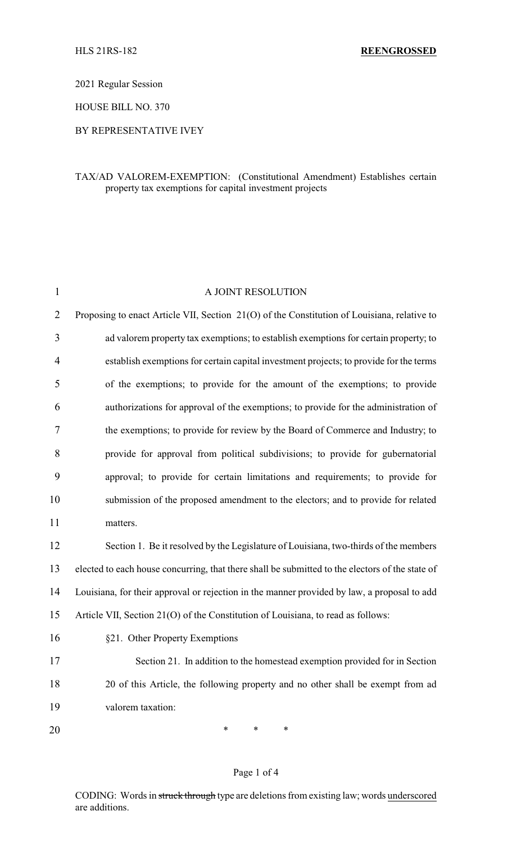2021 Regular Session

HOUSE BILL NO. 370

## BY REPRESENTATIVE IVEY

## TAX/AD VALOREM-EXEMPTION: (Constitutional Amendment) Establishes certain property tax exemptions for capital investment projects

| $\mathbf{1}$   | A JOINT RESOLUTION                                                                              |
|----------------|-------------------------------------------------------------------------------------------------|
| $\overline{2}$ | Proposing to enact Article VII, Section 21(O) of the Constitution of Louisiana, relative to     |
| 3              | ad valorem property tax exemptions; to establish exemptions for certain property; to            |
| $\overline{4}$ | establish exemptions for certain capital investment projects; to provide for the terms          |
| 5              | of the exemptions; to provide for the amount of the exemptions; to provide                      |
| 6              | authorizations for approval of the exemptions; to provide for the administration of             |
| 7              | the exemptions; to provide for review by the Board of Commerce and Industry; to                 |
| 8              | provide for approval from political subdivisions; to provide for gubernatorial                  |
| 9              | approval; to provide for certain limitations and requirements; to provide for                   |
| 10             | submission of the proposed amendment to the electors; and to provide for related                |
| 11             | matters.                                                                                        |
| 12             | Section 1. Be it resolved by the Legislature of Louisiana, two-thirds of the members            |
| 13             | elected to each house concurring, that there shall be submitted to the electors of the state of |
| 14             | Louisiana, for their approval or rejection in the manner provided by law, a proposal to add     |
| 15             | Article VII, Section 21(O) of the Constitution of Louisiana, to read as follows:                |
| 16             | §21. Other Property Exemptions                                                                  |
| 17             | Section 21. In addition to the homestead exemption provided for in Section                      |
| 18             | 20 of this Article, the following property and no other shall be exempt from ad                 |
| 19             | valorem taxation:                                                                               |
| 20             | ∗<br>∗<br>∗                                                                                     |

#### Page 1 of 4

CODING: Words in struck through type are deletions from existing law; words underscored are additions.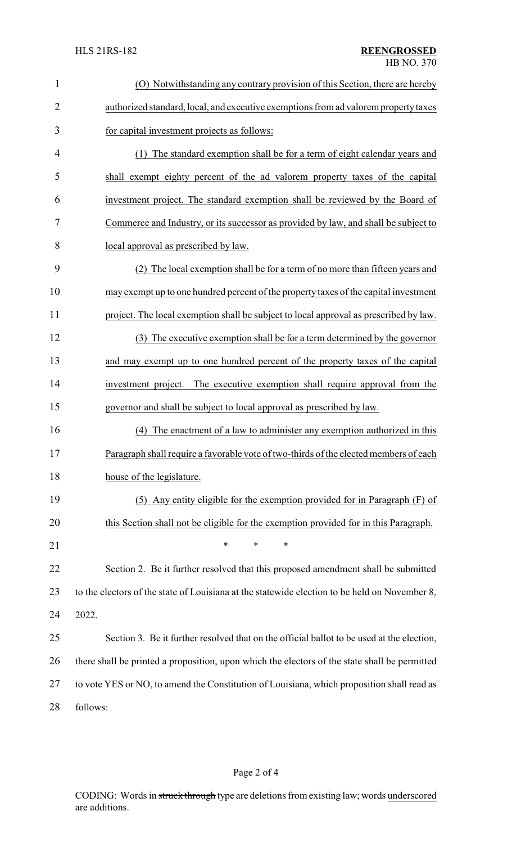| $\mathbf{1}$   | (O) Notwithstanding any contrary provision of this Section, there are hereby                  |
|----------------|-----------------------------------------------------------------------------------------------|
| $\overline{2}$ | authorized standard, local, and executive exemptions from ad valorem property taxes           |
| 3              | for capital investment projects as follows:                                                   |
| 4              | (1) The standard exemption shall be for a term of eight calendar years and                    |
| 5              | shall exempt eighty percent of the ad valorem property taxes of the capital                   |
| 6              | investment project. The standard exemption shall be reviewed by the Board of                  |
| 7              | Commerce and Industry, or its successor as provided by law, and shall be subject to           |
| 8              | local approval as prescribed by law.                                                          |
| 9              | (2) The local exemption shall be for a term of no more than fifteen years and                 |
| 10             | may exempt up to one hundred percent of the property taxes of the capital investment          |
| 11             | project. The local exemption shall be subject to local approval as prescribed by law.         |
| 12             | (3) The executive exemption shall be for a term determined by the governor                    |
| 13             | and may exempt up to one hundred percent of the property taxes of the capital                 |
| 14             | investment project. The executive exemption shall require approval from the                   |
| 15             | governor and shall be subject to local approval as prescribed by law.                         |
| 16             | The enactment of a law to administer any exemption authorized in this<br>(4)                  |
| 17             | Paragraph shall require a favorable vote of two-thirds of the elected members of each         |
| 18             | house of the legislature.                                                                     |
| 19             | (5) Any entity eligible for the exemption provided for in Paragraph (F) of                    |
| 20             | this Section shall not be eligible for the exemption provided for in this Paragraph.          |
| 21             | *<br>*<br>*                                                                                   |
| 22             | Section 2. Be it further resolved that this proposed amendment shall be submitted             |
| 23             | to the electors of the state of Louisiana at the statewide election to be held on November 8, |
| 24             | 2022.                                                                                         |
| 25             | Section 3. Be it further resolved that on the official ballot to be used at the election,     |
| 26             | there shall be printed a proposition, upon which the electors of the state shall be permitted |
| 27             | to vote YES or NO, to amend the Constitution of Louisiana, which proposition shall read as    |
| 28             | follows:                                                                                      |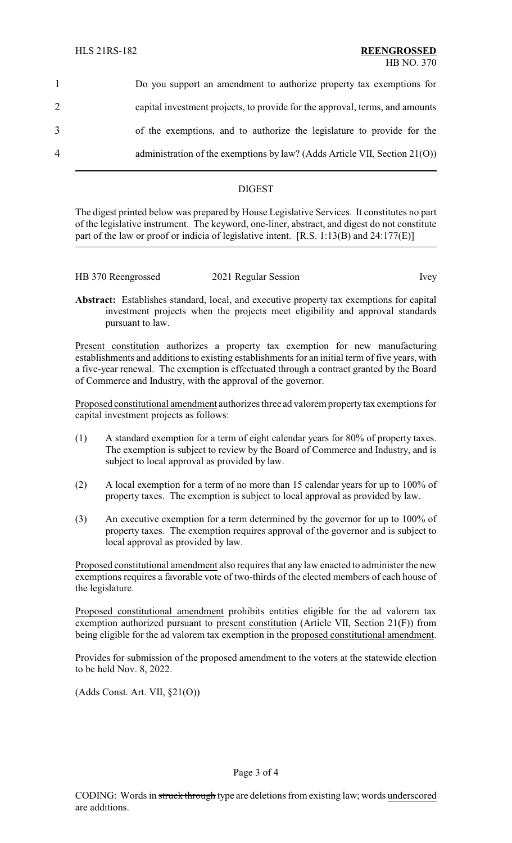|                | Do you support an amendment to authorize property tax exemptions for          |
|----------------|-------------------------------------------------------------------------------|
| 2              | capital investment projects, to provide for the approval, terms, and amounts  |
| 3              | of the exemptions, and to authorize the legislature to provide for the        |
| $\overline{4}$ | administration of the exemptions by law? (Adds Article VII, Section $21(0)$ ) |

# DIGEST

The digest printed below was prepared by House Legislative Services. It constitutes no part of the legislative instrument. The keyword, one-liner, abstract, and digest do not constitute part of the law or proof or indicia of legislative intent. [R.S. 1:13(B) and 24:177(E)]

| HB 370 Reengrossed | 2021 Regular Session | lvev |
|--------------------|----------------------|------|
|                    |                      |      |

**Abstract:** Establishes standard, local, and executive property tax exemptions for capital investment projects when the projects meet eligibility and approval standards pursuant to law.

Present constitution authorizes a property tax exemption for new manufacturing establishments and additions to existing establishments for an initial term of five years, with a five-year renewal. The exemption is effectuated through a contract granted by the Board of Commerce and Industry, with the approval of the governor.

Proposed constitutional amendment authorizes three ad valorem propertytax exemptions for capital investment projects as follows:

- (1) A standard exemption for a term of eight calendar years for 80% of property taxes. The exemption is subject to review by the Board of Commerce and Industry, and is subject to local approval as provided by law.
- (2) A local exemption for a term of no more than 15 calendar years for up to 100% of property taxes. The exemption is subject to local approval as provided by law.
- (3) An executive exemption for a term determined by the governor for up to 100% of property taxes. The exemption requires approval of the governor and is subject to local approval as provided by law.

Proposed constitutional amendment also requires that any law enacted to administer the new exemptions requires a favorable vote of two-thirds of the elected members of each house of the legislature.

Proposed constitutional amendment prohibits entities eligible for the ad valorem tax exemption authorized pursuant to present constitution (Article VII, Section 21(F)) from being eligible for the ad valorem tax exemption in the proposed constitutional amendment.

Provides for submission of the proposed amendment to the voters at the statewide election to be held Nov. 8, 2022.

(Adds Const. Art. VII, §21(O))